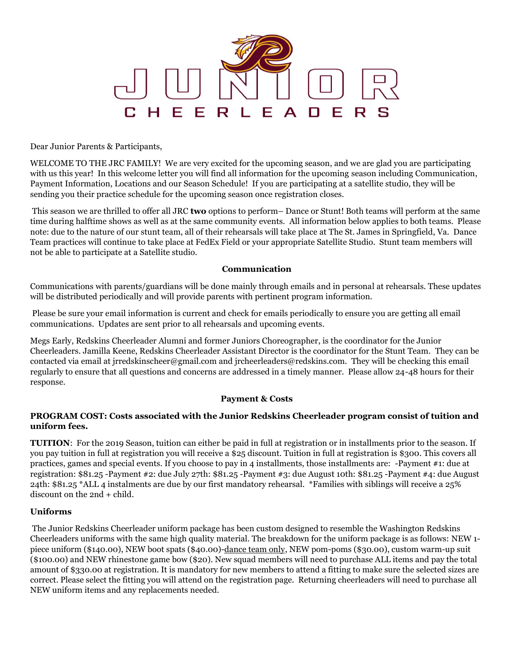

Dear Junior Parents & Participants,

WELCOME TO THE JRC FAMILY! We are very excited for the upcoming season, and we are glad you are participating with us this year! In this welcome letter you will find all information for the upcoming season including Communication, Payment Information, Locations and our Season Schedule! If you are participating at a satellite studio, they will be sending you their practice schedule for the upcoming season once registration closes.

This season we are thrilled to offer all JRC **two** options to perform– Dance or Stunt! Both teams will perform at the same time during halftime shows as well as at the same community events. All information below applies to both teams. Please note: due to the nature of our stunt team, all of their rehearsals will take place at The St. James in Springfield, Va. Dance Team practices will continue to take place at FedEx Field or your appropriate Satellite Studio. Stunt team members will not be able to participate at a Satellite studio.

#### **Communication**

Communications with parents/guardians will be done mainly through emails and in personal at rehearsals. These updates will be distributed periodically and will provide parents with pertinent program information.

Please be sure your email information is current and check for emails periodically to ensure you are getting all email communications. Updates are sent prior to all rehearsals and upcoming events.

Megs Early, Redskins Cheerleader Alumni and former Juniors Choreographer, is the coordinator for the Junior Cheerleaders. Jamilla Keene, Redskins Cheerleader Assistant Director is the coordinator for the Stunt Team. They can be contacted via email at jrredskinscheer@gmail.com and jrcheerleaders@redskins.com. They will be checking this email regularly to ensure that all questions and concerns are addressed in a timely manner. Please allow 24-48 hours for their response.

### **Payment & Costs**

### **PROGRAM COST: Costs associated with the Junior Redskins Cheerleader program consist of tuition and uniform fees.**

**TUITION**: For the 2019 Season, tuition can either be paid in full at registration or in installments prior to the season. If you pay tuition in full at registration you will receive a \$25 discount. Tuition in full at registration is \$300. This covers all practices, games and special events. If you choose to pay in 4 installments, those installments are: -Payment #1: due at registration: \$81.25 -Payment #2: due July 27th: \$81.25 -Payment #3: due August 10th: \$81.25 -Payment #4: due August 24th: \$81.25 \*ALL 4 instalments are due by our first mandatory rehearsal. \*Families with siblings will receive a 25% discount on the 2nd + child.

### **Uniforms**

The Junior Redskins Cheerleader uniform package has been custom designed to resemble the Washington Redskins Cheerleaders uniforms with the same high quality material. The breakdown for the uniform package is as follows: NEW 1 piece uniform (\$140.00), NEW boot spats (\$40.00)-dance team only, NEW pom-poms (\$30.00), custom warm-up suit (\$100.00) and NEW rhinestone game bow (\$20). New squad members will need to purchase ALL items and pay the total amount of \$330.00 at registration. It is mandatory for new members to attend a fitting to make sure the selected sizes are correct. Please select the fitting you will attend on the registration page. Returning cheerleaders will need to purchase all NEW uniform items and any replacements needed.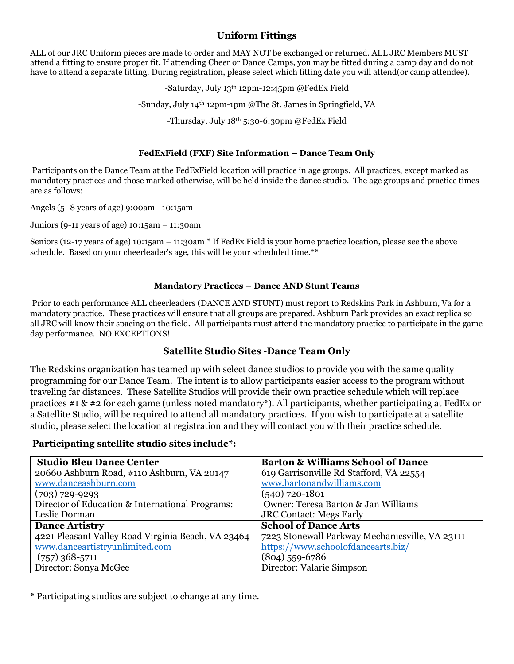# **Uniform Fittings**

ALL of our JRC Uniform pieces are made to order and MAY NOT be exchanged or returned. ALL JRC Members MUST attend a fitting to ensure proper fit. If attending Cheer or Dance Camps, you may be fitted during a camp day and do not have to attend a separate fitting. During registration, please select which fitting date you will attend(or camp attendee).

-Saturday, July 13th 12pm-12:45pm @FedEx Field

-Sunday, July 14th 12pm-1pm @The St. James in Springfield, VA

-Thursday, July 18th 5:30-6:30pm @FedEx Field

### **FedExField (FXF) Site Information – Dance Team Only**

Participants on the Dance Team at the FedExField location will practice in age groups. All practices, except marked as mandatory practices and those marked otherwise, will be held inside the dance studio. The age groups and practice times are as follows:

Angels (5–8 years of age) 9:00am - 10:15am

Juniors (9-11 years of age) 10:15am – 11:30am

Seniors (12-17 years of age) 10:15am – 11:30am \* If FedEx Field is your home practice location, please see the above schedule. Based on your cheerleader's age, this will be your scheduled time.\*\*

### **Mandatory Practices – Dance AND Stunt Teams**

Prior to each performance ALL cheerleaders (DANCE AND STUNT) must report to Redskins Park in Ashburn, Va for a mandatory practice. These practices will ensure that all groups are prepared. Ashburn Park provides an exact replica so all JRC will know their spacing on the field. All participants must attend the mandatory practice to participate in the game day performance. NO EXCEPTIONS!

## **Satellite Studio Sites -Dance Team Only**

The Redskins organization has teamed up with select dance studios to provide you with the same quality programming for our Dance Team. The intent is to allow participants easier access to the program without traveling far distances. These Satellite Studios will provide their own practice schedule which will replace practices #1 & #2 for each game (unless noted mandatory\*). All participants, whether participating at FedEx or a Satellite Studio, will be required to attend all mandatory practices. If you wish to participate at a satellite studio, please select the location at registration and they will contact you with their practice schedule.

### **Participating satellite studio sites include\*:**

| <b>Studio Bleu Dance Center</b>                    | <b>Barton &amp; Williams School of Dance</b>    |
|----------------------------------------------------|-------------------------------------------------|
| 20660 Ashburn Road, #110 Ashburn, VA 20147         | 619 Garrisonville Rd Stafford, VA 22554         |
| www.danceashburn.com                               | www.bartonandwilliams.com                       |
| $(703)$ 729-9293                                   | $(540)$ 720-1801                                |
| Director of Education & International Programs:    | Owner: Teresa Barton & Jan Williams             |
| Leslie Dorman                                      | <b>JRC Contact: Megs Early</b>                  |
| <b>Dance Artistry</b>                              | <b>School of Dance Arts</b>                     |
| 4221 Pleasant Valley Road Virginia Beach, VA 23464 | 7223 Stonewall Parkway Mechanicsville, VA 23111 |
| www.danceartistryunlimited.com                     | https://www.schoolofdancearts.biz/              |
| $(757)$ 368-5711                                   | $(804)$ 559-6786                                |
| Director: Sonya McGee                              | Director: Valarie Simpson                       |

\* Participating studios are subject to change at any time.